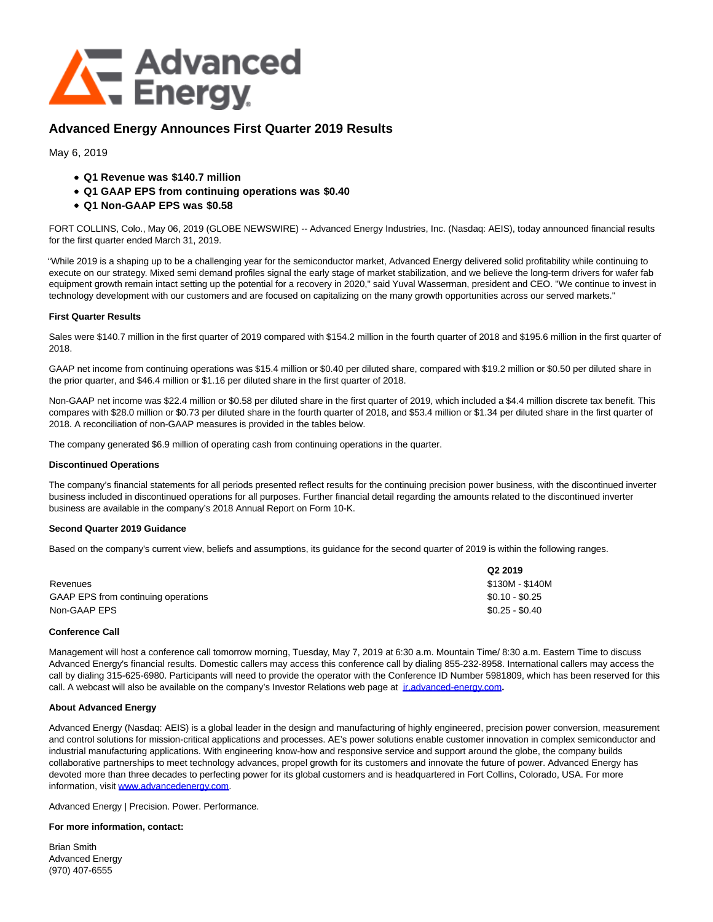

# **Advanced Energy Announces First Quarter 2019 Results**

May 6, 2019

- **Q1 Revenue was \$140.7 million**
- **Q1 GAAP EPS from continuing operations was \$0.40**
- **Q1 Non-GAAP EPS was \$0.58**

FORT COLLINS, Colo., May 06, 2019 (GLOBE NEWSWIRE) -- Advanced Energy Industries, Inc. (Nasdaq: AEIS), today announced financial results for the first quarter ended March 31, 2019.

"While 2019 is a shaping up to be a challenging year for the semiconductor market, Advanced Energy delivered solid profitability while continuing to execute on our strategy. Mixed semi demand profiles signal the early stage of market stabilization, and we believe the long-term drivers for wafer fab equipment growth remain intact setting up the potential for a recovery in 2020," said Yuval Wasserman, president and CEO. "We continue to invest in technology development with our customers and are focused on capitalizing on the many growth opportunities across our served markets."

#### **First Quarter Results**

Sales were \$140.7 million in the first quarter of 2019 compared with \$154.2 million in the fourth quarter of 2018 and \$195.6 million in the first quarter of 2018.

GAAP net income from continuing operations was \$15.4 million or \$0.40 per diluted share, compared with \$19.2 million or \$0.50 per diluted share in the prior quarter, and \$46.4 million or \$1.16 per diluted share in the first quarter of 2018.

Non-GAAP net income was \$22.4 million or \$0.58 per diluted share in the first quarter of 2019, which included a \$4.4 million discrete tax benefit. This compares with \$28.0 million or \$0.73 per diluted share in the fourth quarter of 2018, and \$53.4 million or \$1.34 per diluted share in the first quarter of 2018. A reconciliation of non-GAAP measures is provided in the tables below.

The company generated \$6.9 million of operating cash from continuing operations in the quarter.

## **Discontinued Operations**

The company's financial statements for all periods presented reflect results for the continuing precision power business, with the discontinued inverter business included in discontinued operations for all purposes. Further financial detail regarding the amounts related to the discontinued inverter business are available in the company's 2018 Annual Report on Form 10-K.

## **Second Quarter 2019 Guidance**

Based on the company's current view, beliefs and assumptions, its guidance for the second quarter of 2019 is within the following ranges.

|                                     | Q <sub>2</sub> 2019 |
|-------------------------------------|---------------------|
| Revenues                            | \$130M - \$140M     |
| GAAP EPS from continuing operations | $$0.10 - $0.25$     |
| Non-GAAP EPS                        | $$0.25 - $0.40$     |

## **Conference Call**

Management will host a conference call tomorrow morning, Tuesday, May 7, 2019 at 6:30 a.m. Mountain Time/ 8:30 a.m. Eastern Time to discuss Advanced Energy's financial results. Domestic callers may access this conference call by dialing 855-232-8958. International callers may access the call by dialing 315-625-6980. Participants will need to provide the operator with the Conference ID Number 5981809, which has been reserved for this call. A webcast will also be available on the company's Investor Relations web page at [ir.advanced-energy.com](https://www.globenewswire.com/Tracker?data=cU4J_MMMEjEwbK1_0EIoSh5WJv7X84d8Izi81C_OYQpBLbOhJffUqS5ivf1QJBNxFJ3uBDw_pe-RzPfzQKAsEwJyrC7PyI8CAj3qvxCF66M=)**.**

#### **About Advanced Energy**

Advanced Energy (Nasdaq: AEIS) is a global leader in the design and manufacturing of highly engineered, precision power conversion, measurement and control solutions for mission-critical applications and processes. AE's power solutions enable customer innovation in complex semiconductor and industrial manufacturing applications. With engineering know-how and responsive service and support around the globe, the company builds collaborative partnerships to meet technology advances, propel growth for its customers and innovate the future of power. Advanced Energy has devoted more than three decades to perfecting power for its global customers and is headquartered in Fort Collins, Colorado, USA. For more information, visit [www.advancedenergy.com.](https://www.globenewswire.com/Tracker?data=qIxZbMC0HlUc5He7q3sgsqe725wTgAzgd6wx-yNpogk12sxiUnCQBBKHqzw-Drt8oXWwwnUuGV3o_hvp7PSVoKzTHgVHvJxs7Au6kI-L4g4=)

Advanced Energy | Precision. Power. Performance.

## **For more information, contact:**

Brian Smith Advanced Energy (970) 407-6555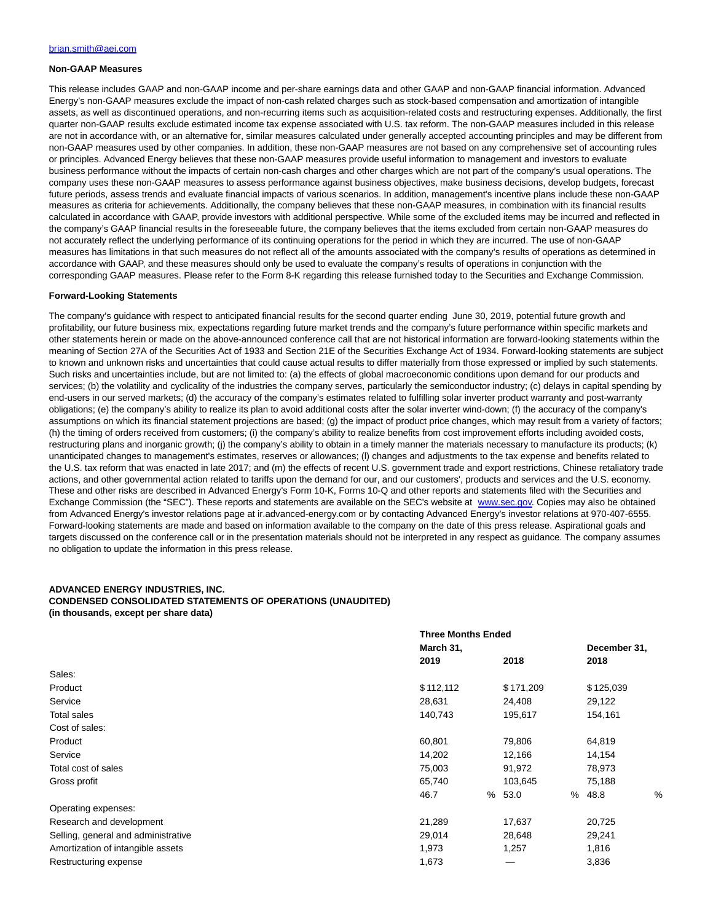## **Non-GAAP Measures**

This release includes GAAP and non-GAAP income and per-share earnings data and other GAAP and non-GAAP financial information. Advanced Energy's non-GAAP measures exclude the impact of non-cash related charges such as stock-based compensation and amortization of intangible assets, as well as discontinued operations, and non-recurring items such as acquisition-related costs and restructuring expenses. Additionally, the first quarter non-GAAP results exclude estimated income tax expense associated with U.S. tax reform. The non-GAAP measures included in this release are not in accordance with, or an alternative for, similar measures calculated under generally accepted accounting principles and may be different from non-GAAP measures used by other companies. In addition, these non-GAAP measures are not based on any comprehensive set of accounting rules or principles. Advanced Energy believes that these non-GAAP measures provide useful information to management and investors to evaluate business performance without the impacts of certain non-cash charges and other charges which are not part of the company's usual operations. The company uses these non-GAAP measures to assess performance against business objectives, make business decisions, develop budgets, forecast future periods, assess trends and evaluate financial impacts of various scenarios. In addition, management's incentive plans include these non-GAAP measures as criteria for achievements. Additionally, the company believes that these non-GAAP measures, in combination with its financial results calculated in accordance with GAAP, provide investors with additional perspective. While some of the excluded items may be incurred and reflected in the company's GAAP financial results in the foreseeable future, the company believes that the items excluded from certain non-GAAP measures do not accurately reflect the underlying performance of its continuing operations for the period in which they are incurred. The use of non-GAAP measures has limitations in that such measures do not reflect all of the amounts associated with the company's results of operations as determined in accordance with GAAP, and these measures should only be used to evaluate the company's results of operations in conjunction with the corresponding GAAP measures. Please refer to the Form 8-K regarding this release furnished today to the Securities and Exchange Commission.

#### **Forward-Looking Statements**

The company's guidance with respect to anticipated financial results for the second quarter ending June 30, 2019, potential future growth and profitability, our future business mix, expectations regarding future market trends and the company's future performance within specific markets and other statements herein or made on the above-announced conference call that are not historical information are forward-looking statements within the meaning of Section 27A of the Securities Act of 1933 and Section 21E of the Securities Exchange Act of 1934. Forward-looking statements are subject to known and unknown risks and uncertainties that could cause actual results to differ materially from those expressed or implied by such statements. Such risks and uncertainties include, but are not limited to: (a) the effects of global macroeconomic conditions upon demand for our products and services; (b) the volatility and cyclicality of the industries the company serves, particularly the semiconductor industry; (c) delays in capital spending by end-users in our served markets; (d) the accuracy of the company's estimates related to fulfilling solar inverter product warranty and post-warranty obligations; (e) the company's ability to realize its plan to avoid additional costs after the solar inverter wind-down; (f) the accuracy of the company's assumptions on which its financial statement projections are based; (g) the impact of product price changes, which may result from a variety of factors; (h) the timing of orders received from customers; (i) the company's ability to realize benefits from cost improvement efforts including avoided costs, restructuring plans and inorganic growth; (j) the company's ability to obtain in a timely manner the materials necessary to manufacture its products; (k) unanticipated changes to management's estimates, reserves or allowances; (l) changes and adjustments to the tax expense and benefits related to the U.S. tax reform that was enacted in late 2017; and (m) the effects of recent U.S. government trade and export restrictions, Chinese retaliatory trade actions, and other governmental action related to tariffs upon the demand for our, and our customers', products and services and the U.S. economy. These and other risks are described in Advanced Energy's Form 10-K, Forms 10-Q and other reports and statements filed with the Securities and Exchange Commission (the "SEC"). These reports and statements are available on the SEC's website at [www.sec.gov.](https://www.globenewswire.com/Tracker?data=p_gtCoKlvoaeeHEq0_Eyb7YgZDyY2uuG0uV-iHOGHAgRCsASbohJtbewtKwAE3s9im9j0dJkcRSUfKdhTPQ8_Q==) Copies may also be obtained from Advanced Energy's investor relations page at ir.advanced-energy.com or by contacting Advanced Energy's investor relations at 970-407-6555. Forward-looking statements are made and based on information available to the company on the date of this press release. Aspirational goals and targets discussed on the conference call or in the presentation materials should not be interpreted in any respect as guidance. The company assumes no obligation to update the information in this press release.

## **ADVANCED ENERGY INDUSTRIES, INC. CONDENSED CONSOLIDATED STATEMENTS OF OPERATIONS (UNAUDITED) (in thousands, except per share data)**

|                                     | Three Months Enged |  |           |  |              |   |  |
|-------------------------------------|--------------------|--|-----------|--|--------------|---|--|
|                                     | March 31,          |  |           |  | December 31, |   |  |
|                                     | 2019               |  | 2018      |  | 2018         |   |  |
| Sales:                              |                    |  |           |  |              |   |  |
| Product                             | \$112,112          |  | \$171,209 |  | \$125,039    |   |  |
| Service                             | 28,631             |  | 24,408    |  | 29,122       |   |  |
| Total sales                         | 140,743            |  | 195,617   |  | 154,161      |   |  |
| Cost of sales:                      |                    |  |           |  |              |   |  |
| Product                             | 60,801             |  | 79,806    |  | 64,819       |   |  |
| Service                             | 14,202             |  | 12,166    |  | 14,154       |   |  |
| Total cost of sales                 | 75,003             |  | 91,972    |  | 78,973       |   |  |
| Gross profit                        | 65,740             |  | 103,645   |  | 75,188       |   |  |
|                                     | 46.7               |  | % 53.0    |  | % 48.8       | % |  |
| Operating expenses:                 |                    |  |           |  |              |   |  |
| Research and development            | 21,289             |  | 17,637    |  | 20,725       |   |  |
| Selling, general and administrative | 29,014             |  | 28,648    |  | 29,241       |   |  |
| Amortization of intangible assets   | 1,973              |  | 1,257     |  | 1,816        |   |  |
| Restructuring expense               | 1,673              |  |           |  | 3,836        |   |  |

**Three Months Ended**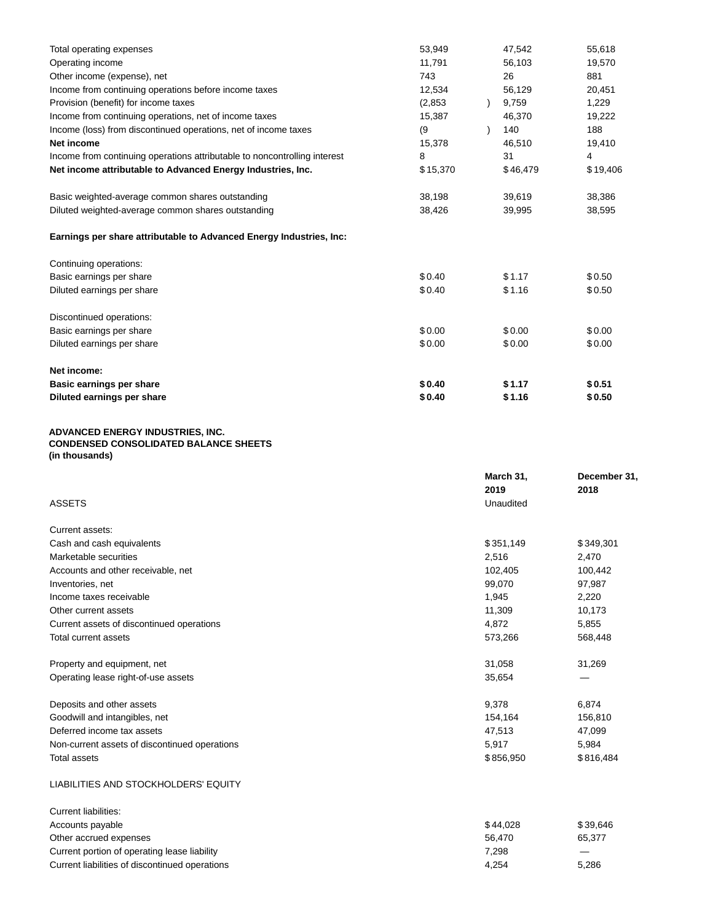| Total operating expenses                                                  | 53,949   | 47,542   | 55,618   |
|---------------------------------------------------------------------------|----------|----------|----------|
| Operating income                                                          | 11,791   | 56,103   | 19,570   |
| Other income (expense), net                                               | 743      | 26       | 881      |
| Income from continuing operations before income taxes                     | 12.534   | 56,129   | 20,451   |
| Provision (benefit) for income taxes                                      | (2,853)  | 9,759    | 1,229    |
| Income from continuing operations, net of income taxes                    | 15,387   | 46,370   | 19,222   |
| Income (loss) from discontinued operations, net of income taxes           | (9)      | 140      | 188      |
| <b>Net income</b>                                                         | 15,378   | 46,510   | 19,410   |
| Income from continuing operations attributable to noncontrolling interest | 8        | 31       | 4        |
| Net income attributable to Advanced Energy Industries, Inc.               | \$15,370 | \$46,479 | \$19,406 |
| Basic weighted-average common shares outstanding                          | 38,198   | 39,619   | 38,386   |
| Diluted weighted-average common shares outstanding                        | 38,426   | 39,995   | 38,595   |
| Earnings per share attributable to Advanced Energy Industries, Inc:       |          |          |          |
| Continuing operations:                                                    |          |          |          |
| Basic earnings per share                                                  | \$0.40   | \$1.17   | \$0.50   |
| Diluted earnings per share                                                | \$0.40   | \$1.16   | \$0.50   |
| Discontinued operations:                                                  |          |          |          |
| Basic earnings per share                                                  | \$0.00   | \$0.00   | \$0.00   |
| Diluted earnings per share                                                | \$0.00   | \$0.00   | \$0.00   |
| Net income:                                                               |          |          |          |
| Basic earnings per share                                                  | \$0.40   | \$1.17   | \$0.51   |
| Diluted earnings per share                                                | \$0.40   | \$1.16   | \$0.50   |

## **ADVANCED ENERGY INDUSTRIES, INC. CONDENSED CONSOLIDATED BALANCE SHEETS**

**(in thousands)**

|                                               | March 31, | December 31,  |
|-----------------------------------------------|-----------|---------------|
|                                               | 2019      | 2018          |
| <b>ASSETS</b>                                 | Unaudited |               |
| Current assets:                               |           |               |
| Cash and cash equivalents                     | \$351,149 | \$349,301     |
| Marketable securities                         | 2,516     | 2,470         |
| Accounts and other receivable, net            | 102,405   | 100,442       |
| Inventories, net                              | 99,070    | 97,987        |
| Income taxes receivable                       | 1,945     | 2,220         |
| Other current assets                          | 11,309    | 10,173        |
| Current assets of discontinued operations     | 4,872     | 5,855         |
| Total current assets                          | 573,266   | 568,448       |
| Property and equipment, net                   | 31,058    | 31,269        |
| Operating lease right-of-use assets           | 35,654    |               |
| Deposits and other assets                     | 9,378     | 6,874         |
| Goodwill and intangibles, net                 | 154,164   | 156,810       |
| Deferred income tax assets                    | 47,513    | 47,099        |
| Non-current assets of discontinued operations | 5,917     | 5,984         |
| <b>Total assets</b>                           | \$856,950 | \$816,484     |
| LIABILITIES AND STOCKHOLDERS' EQUITY          |           |               |
| <b>Current liabilities:</b>                   |           |               |
| Accounts payable                              | \$44,028  | \$39,646      |
| Other accrued expenses                        | 56.470    | <b>GE 377</b> |

| <i>I</i> NOODHING PUYUDIO                      | $v = v + v$ | $v \sim v + v$ |
|------------------------------------------------|-------------|----------------|
| Other accrued expenses                         | 56.470      | 65.377         |
| Current portion of operating lease liability   | 7.298       |                |
| Current liabilities of discontinued operations | 4.254       | 5.286          |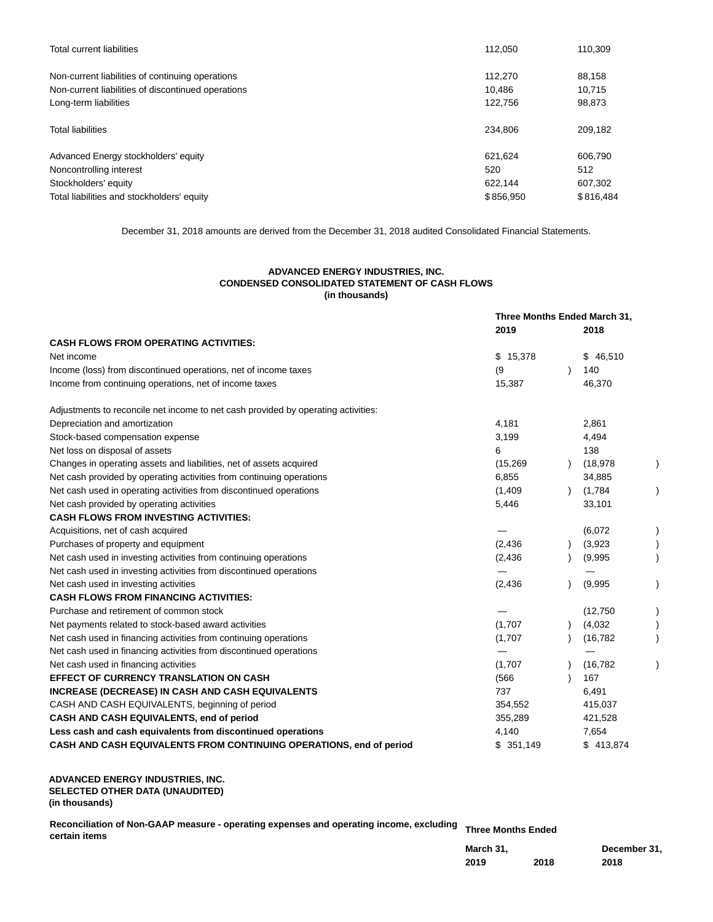| Total current liabilities                                                   | 112.050           | 110,309          |
|-----------------------------------------------------------------------------|-------------------|------------------|
| Non-current liabilities of continuing operations                            | 112.270           | 88,158           |
| Non-current liabilities of discontinued operations<br>Long-term liabilities | 10.486<br>122.756 | 10,715<br>98,873 |
| <b>Total liabilities</b>                                                    | 234.806           | 209.182          |
| Advanced Energy stockholders' equity                                        | 621.624           | 606.790          |
| Noncontrolling interest                                                     | 520               | 512              |
| Stockholders' equity                                                        | 622.144           | 607,302          |
| Total liabilities and stockholders' equity                                  | \$856,950         | \$816,484        |

December 31, 2018 amounts are derived from the December 31, 2018 audited Consolidated Financial Statements.

## **ADVANCED ENERGY INDUSTRIES, INC. CONDENSED CONSOLIDATED STATEMENT OF CASH FLOWS (in thousands)**

|                                                                                   | Three Months Ended March 31,<br>2019 | 2018      |  |
|-----------------------------------------------------------------------------------|--------------------------------------|-----------|--|
| <b>CASH FLOWS FROM OPERATING ACTIVITIES:</b>                                      |                                      |           |  |
| Net income                                                                        | \$15,378                             | \$46,510  |  |
| Income (loss) from discontinued operations, net of income taxes                   | (9)                                  | 140       |  |
| Income from continuing operations, net of income taxes                            | 15,387                               | 46,370    |  |
| Adjustments to reconcile net income to net cash provided by operating activities: |                                      |           |  |
| Depreciation and amortization                                                     | 4,181                                | 2,861     |  |
| Stock-based compensation expense                                                  | 3,199                                | 4,494     |  |
| Net loss on disposal of assets                                                    | 6                                    | 138       |  |
| Changes in operating assets and liabilities, net of assets acquired               | (15, 269)                            | (18, 978) |  |
| Net cash provided by operating activities from continuing operations              | 6,855                                | 34,885    |  |
| Net cash used in operating activities from discontinued operations                | (1,409)                              | (1,784)   |  |
| Net cash provided by operating activities                                         | 5,446                                | 33,101    |  |
| <b>CASH FLOWS FROM INVESTING ACTIVITIES:</b>                                      |                                      |           |  |
| Acquisitions, net of cash acquired                                                |                                      | (6,072)   |  |
| Purchases of property and equipment                                               | (2, 436)                             | (3,923)   |  |
| Net cash used in investing activities from continuing operations                  | (2, 436)                             | (9,995)   |  |
| Net cash used in investing activities from discontinued operations                |                                      |           |  |
| Net cash used in investing activities                                             | (2, 436)                             | (9,995)   |  |
| <b>CASH FLOWS FROM FINANCING ACTIVITIES:</b>                                      |                                      |           |  |
| Purchase and retirement of common stock                                           |                                      | (12,750)  |  |
| Net payments related to stock-based award activities                              | (1,707)                              | (4,032)   |  |
| Net cash used in financing activities from continuing operations                  | (1,707)                              | (16, 782) |  |
| Net cash used in financing activities from discontinued operations                |                                      |           |  |
| Net cash used in financing activities                                             | (1,707)                              | (16, 782) |  |
| <b>EFFECT OF CURRENCY TRANSLATION ON CASH</b>                                     | (566)                                | 167       |  |
| INCREASE (DECREASE) IN CASH AND CASH EQUIVALENTS                                  | 737                                  | 6,491     |  |
| CASH AND CASH EQUIVALENTS, beginning of period                                    | 354,552                              | 415,037   |  |
| CASH AND CASH EQUIVALENTS, end of period                                          | 355,289                              | 421,528   |  |
| Less cash and cash equivalents from discontinued operations                       | 4,140                                | 7,654     |  |
| CASH AND CASH EQUIVALENTS FROM CONTINUING OPERATIONS, end of period               | \$351,149                            | \$413,874 |  |

**ADVANCED ENERGY INDUSTRIES, INC. SELECTED OTHER DATA (UNAUDITED) (in thousands)**

**Reconciliation of Non-GAAP measure - operating expenses and operating income, excluding certain items Three Months Ended**

| March 31, |      | December 31, |
|-----------|------|--------------|
| 2019      | 2018 | 2018         |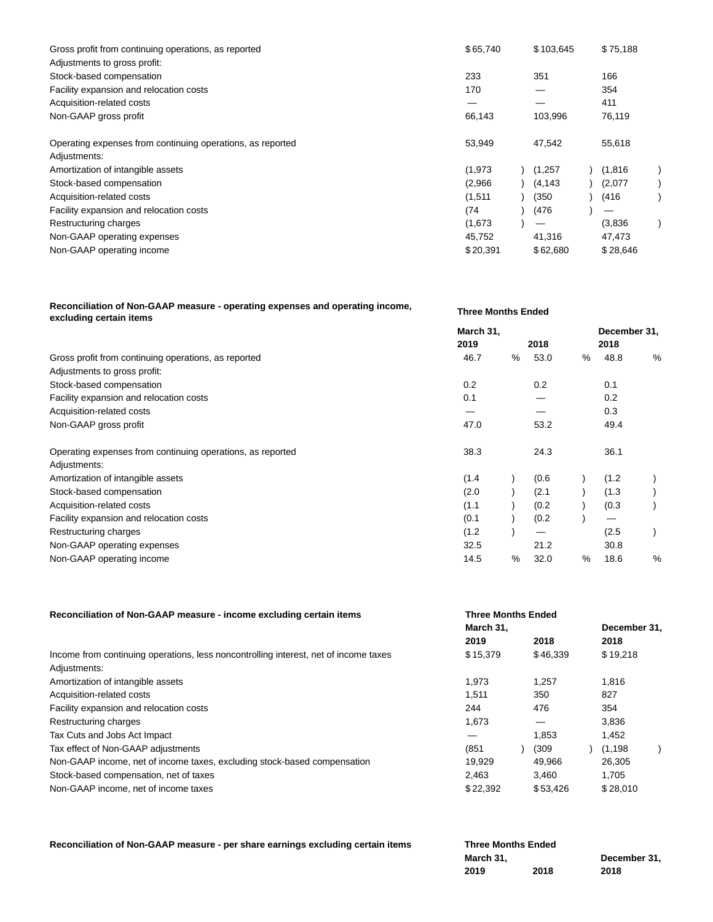| Gross profit from continuing operations, as reported       | \$65,740 | \$103,645 | \$75,188 |  |
|------------------------------------------------------------|----------|-----------|----------|--|
| Adjustments to gross profit:                               |          |           |          |  |
| Stock-based compensation                                   | 233      | 351       | 166      |  |
| Facility expansion and relocation costs                    | 170      |           | 354      |  |
| Acquisition-related costs                                  |          |           | 411      |  |
| Non-GAAP gross profit                                      | 66,143   | 103,996   | 76,119   |  |
| Operating expenses from continuing operations, as reported | 53,949   | 47,542    | 55,618   |  |
| Adjustments:                                               |          |           |          |  |
| Amortization of intangible assets                          | (1,973)  | (1,257)   | (1,816)  |  |
| Stock-based compensation                                   | (2,966)  | (4,143    | (2,077)  |  |
| Acquisition-related costs                                  | (1, 511) | (350)     | (416)    |  |
| Facility expansion and relocation costs                    | (74      | (476)     | —        |  |
| Restructuring charges                                      | (1,673)  | —         | (3,836)  |  |
| Non-GAAP operating expenses                                | 45,752   | 41,316    | 47,473   |  |
| Non-GAAP operating income                                  | \$20,391 | \$62,680  | \$28,646 |  |

| Reconciliation of Non-GAAP measure - operating expenses and operating income,<br>excluding certain items |           | <b>Three Months Ended</b> |       |      |              |   |  |  |  |  |
|----------------------------------------------------------------------------------------------------------|-----------|---------------------------|-------|------|--------------|---|--|--|--|--|
|                                                                                                          | March 31, |                           |       |      | December 31, |   |  |  |  |  |
|                                                                                                          | 2019      |                           | 2018  |      | 2018         |   |  |  |  |  |
| Gross profit from continuing operations, as reported                                                     | 46.7      | %                         | 53.0  | %    | 48.8         | % |  |  |  |  |
| Adjustments to gross profit:                                                                             |           |                           |       |      |              |   |  |  |  |  |
| Stock-based compensation                                                                                 | 0.2       |                           | 0.2   |      | 0.1          |   |  |  |  |  |
| Facility expansion and relocation costs                                                                  | 0.1       |                           |       |      | 0.2          |   |  |  |  |  |
| Acquisition-related costs                                                                                |           |                           |       |      | 0.3          |   |  |  |  |  |
| Non-GAAP gross profit                                                                                    | 47.0      |                           | 53.2  |      | 49.4         |   |  |  |  |  |
| Operating expenses from continuing operations, as reported                                               | 38.3      |                           | 24.3  |      | 36.1         |   |  |  |  |  |
| Adjustments:                                                                                             |           |                           |       |      |              |   |  |  |  |  |
| Amortization of intangible assets                                                                        | (1.4)     |                           | (0.6) |      | (1.2)        |   |  |  |  |  |
| Stock-based compensation                                                                                 | (2.0)     |                           | (2.1) |      | (1.3)        |   |  |  |  |  |
| Acquisition-related costs                                                                                | (1.1)     |                           | (0.2) |      | (0.3)        |   |  |  |  |  |
| Facility expansion and relocation costs                                                                  | (0.1)     |                           | (0.2) |      |              |   |  |  |  |  |
| Restructuring charges                                                                                    | (1.2)     |                           |       |      | (2.5)        |   |  |  |  |  |
| Non-GAAP operating expenses                                                                              | 32.5      |                           | 21.2  |      | 30.8         |   |  |  |  |  |
| Non-GAAP operating income                                                                                | 14.5      | %                         | 32.0  | $\%$ | 18.6         | % |  |  |  |  |

| Reconciliation of Non-GAAP measure - income excluding certain items                  | <b>Three Months Ended</b> |          |              |  |  |  |
|--------------------------------------------------------------------------------------|---------------------------|----------|--------------|--|--|--|
|                                                                                      | March 31,                 |          | December 31, |  |  |  |
|                                                                                      | 2019                      | 2018     | 2018         |  |  |  |
| Income from continuing operations, less noncontrolling interest, net of income taxes | \$15,379                  | \$46,339 | \$19,218     |  |  |  |
| Adjustments:                                                                         |                           |          |              |  |  |  |
| Amortization of intangible assets                                                    | 1.973                     | 1.257    | 1,816        |  |  |  |
| Acquisition-related costs                                                            | 1,511                     | 350      | 827          |  |  |  |
| Facility expansion and relocation costs                                              | 244                       | 476      | 354          |  |  |  |
| Restructuring charges                                                                | 1,673                     |          | 3,836        |  |  |  |
| Tax Cuts and Jobs Act Impact                                                         | —                         | 1,853    | 1,452        |  |  |  |
| Tax effect of Non-GAAP adjustments                                                   | (851)                     | (309)    | (1, 198)     |  |  |  |
| Non-GAAP income, net of income taxes, excluding stock-based compensation             | 19,929                    | 49.966   | 26,305       |  |  |  |
| Stock-based compensation, net of taxes                                               | 2.463                     | 3.460    | 1.705        |  |  |  |
| Non-GAAP income, net of income taxes                                                 | \$22,392                  | \$53,426 | \$28,010     |  |  |  |

**Reconciliation of Non-GAAP measure - per share earnings excluding certain items** 

| <b>Three Months Ended</b> |      |              |
|---------------------------|------|--------------|
| March 31,                 |      | December 31. |
| 2019                      | 2018 | 2018         |